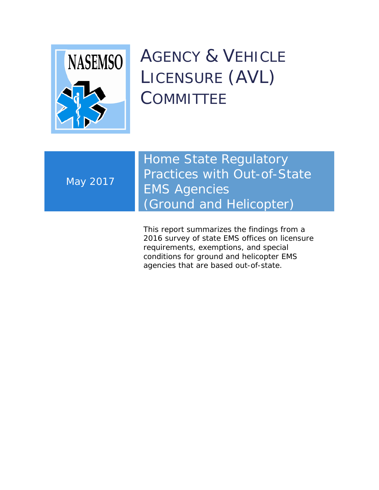

AGENCY & VEHICLE LICENSURE (AVL) **COMMITTEE** 

May 2017

Home State Regulatory Practices with Out-of-State EMS Agencies (Ground and Helicopter)

This report summarizes the findings from a 2016 survey of state EMS offices on licensure requirements, exemptions, and special conditions for ground and helicopter EMS agencies that are based out-of-state.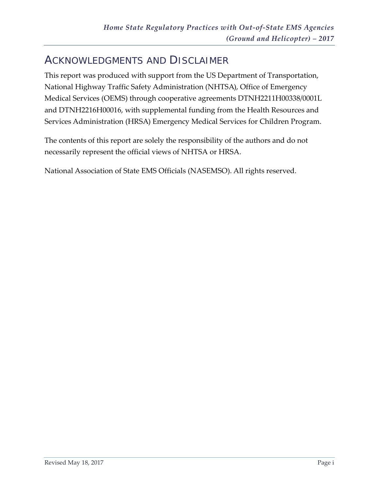# <span id="page-1-0"></span>ACKNOWLEDGMENTS AND DISCLAIMER

This report was produced with support from the US Department of Transportation, National Highway Traffic Safety Administration (NHTSA), Office of Emergency Medical Services (OEMS) through cooperative agreements DTNH2211H00338/0001L and DTNH2216H00016, with supplemental funding from the Health Resources and Services Administration (HRSA) Emergency Medical Services for Children Program.

The contents of this report are solely the responsibility of the authors and do not necessarily represent the official views of NHTSA or HRSA.

National Association of State EMS Officials (NASEMSO). All rights reserved.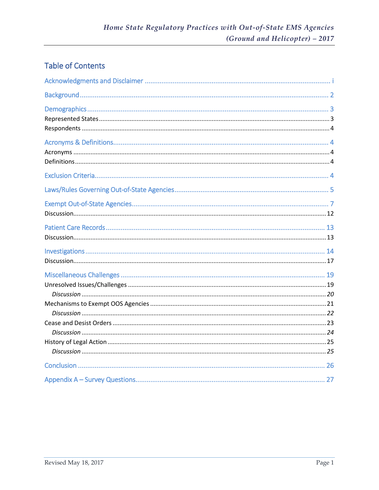## **Table of Contents**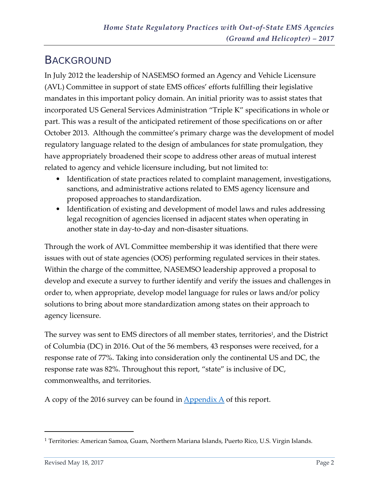# <span id="page-3-0"></span>**BACKGROUND**

In July 2012 the leadership of NASEMSO formed an Agency and Vehicle Licensure (AVL) Committee in support of state EMS offices' efforts fulfilling their legislative mandates in this important policy domain. An initial priority was to assist states that incorporated US General Services Administration "Triple K" specifications in whole or part. This was a result of the anticipated retirement of those specifications on or after October 2013. Although the committee's primary charge was the development of model regulatory language related to the design of ambulances for state promulgation, they have appropriately broadened their scope to address other areas of mutual interest related to agency and vehicle licensure including, but not limited to:

- Identification of state practices related to complaint management, investigations, sanctions, and administrative actions related to EMS agency licensure and proposed approaches to standardization.
- Identification of existing and development of model laws and rules addressing legal recognition of agencies licensed in adjacent states when operating in another state in day-to-day and non-disaster situations.

Through the work of AVL Committee membership it was identified that there were issues with out of state agencies (OOS) performing regulated services in their states. Within the charge of the committee, NASEMSO leadership approved a proposal to develop and execute a survey to further identify and verify the issues and challenges in order to, when appropriate, develop model language for rules or laws and/or policy solutions to bring about more standardization among states on their approach to agency licensure.

The survey was sent to EMS directors of all member states, territories<sup>1</sup>, and the District of Columbia (DC) in 2016. Out of the 56 members, 43 responses were received, for a response rate of 77%. Taking into consideration only the continental US and DC, the response rate was 82%. Throughout this report, "state" is inclusive of DC, commonwealths, and territories.

A copy of the 2016 survey can be found in  $\Delta$  pendix  $\Delta$  of this report.

 $\overline{a}$ 

<sup>1</sup> Territories: American Samoa, Guam, Northern Mariana Islands, Puerto Rico, U.S. Virgin Islands.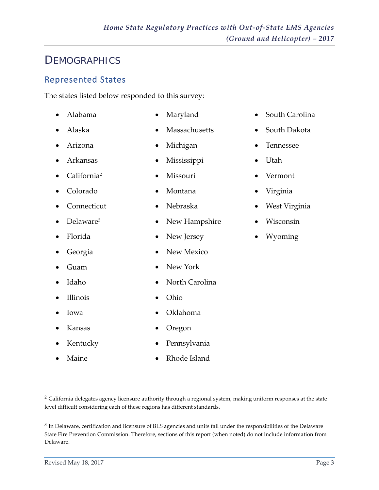## <span id="page-4-0"></span>**DEMOGRAPHICS**

## <span id="page-4-1"></span>Represented States

The states listed below responded to this survey:

- Alabama
- Alaska
- Arizona
- Arkansas
- California<sup>2</sup>
- Colorado
- Connecticut
- Delaware<sup>3</sup>
- Florida
- Georgia
- Guam
- Idaho
- Illinois
- Iowa

 $\overline{a}$ 

- Kansas
- Kentucky
- Maine
- Maryland
- Massachusetts
- Michigan
- Mississippi
- Missouri
- Montana
- Nebraska
- New Hampshire
- New Jersey
- New Mexico
- New York
	- North Carolina
- Ohio
- Oklahoma
- Oregon
- Pennsylvania
- Rhode Island
- South Carolina
- South Dakota
- Tennessee
- Utah
- Vermont
- Virginia
- West Virginia
- Wisconsin
- Wyoming

<sup>2</sup> California delegates agency licensure authority through a regional system, making uniform responses at the state level difficult considering each of these regions has different standards.

<sup>&</sup>lt;sup>3</sup> In Delaware, certification and licensure of BLS agencies and units fall under the responsibilities of the Delaware State Fire Prevention Commission. Therefore, sections of this report (when noted) do not include information from Delaware.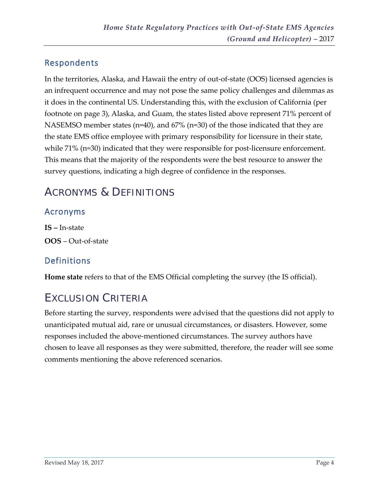## <span id="page-5-0"></span>Respondents

In the territories, Alaska, and Hawaii the entry of out-of-state (OOS) licensed agencies is an infrequent occurrence and may not pose the same policy challenges and dilemmas as it does in the continental US. Understanding this, with the exclusion of California (per footnote on page 3), Alaska, and Guam, the states listed above represent 71% percent of NASEMSO member states (n=40), and 67% (n=30) of the those indicated that they are the state EMS office employee with primary responsibility for licensure in their state, while 71% (n=30) indicated that they were responsible for post-licensure enforcement. This means that the majority of the respondents were the best resource to answer the survey questions, indicating a high degree of confidence in the responses.

# <span id="page-5-1"></span>ACRONYMS & DEFINITIONS

## <span id="page-5-2"></span>Acronyms

**IS –** In-state **OOS** – Out-of-state

## <span id="page-5-3"></span>Definitions

**Home state** refers to that of the EMS Official completing the survey (the IS official).

# <span id="page-5-4"></span>EXCLUSION CRITERIA

Before starting the survey, respondents were advised that the questions did not apply to unanticipated mutual aid, rare or unusual circumstances, or disasters. However, some responses included the above-mentioned circumstances. The survey authors have chosen to leave all responses as they were submitted, therefore, the reader will see some comments mentioning the above referenced scenarios.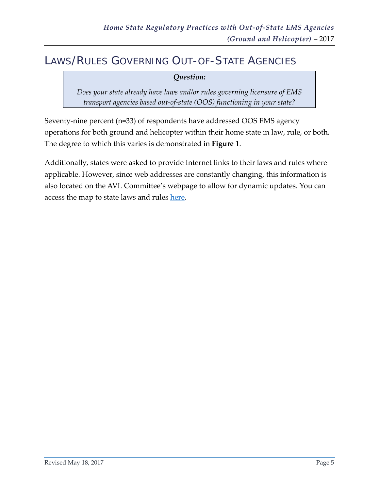## <span id="page-6-0"></span>LAWS/RULES GOVERNING OUT-OF-STATE AGENCIES

#### *Question:*

*Does your state already have laws and/or rules governing licensure of EMS transport agencies based out-of-state (OOS) functioning in your state?*

Seventy-nine percent (n=33) of respondents have addressed OOS EMS agency operations for both ground and helicopter within their home state in law, rule, or both. The degree to which this varies is demonstrated in **Figure 1**.

Additionally, states were asked to provide Internet links to their laws and rules where applicable. However, since web addresses are constantly changing, this information is also located on the AVL Committee's webpage to allow for dynamic updates. You can access the map to state laws and rules [here.](http://nasemso.org/LawsRulesMap/Laws-Rules-Map.asp)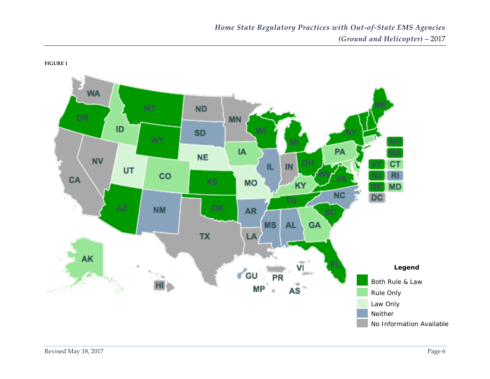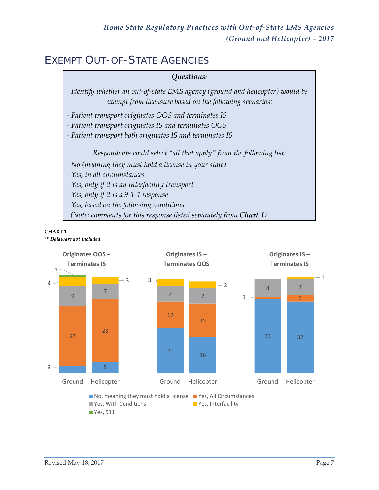# <span id="page-8-0"></span>EXEMPT OUT-OF-STATE AGENCIES



#### **CHART 1**

*\*\* Delaware not included* 

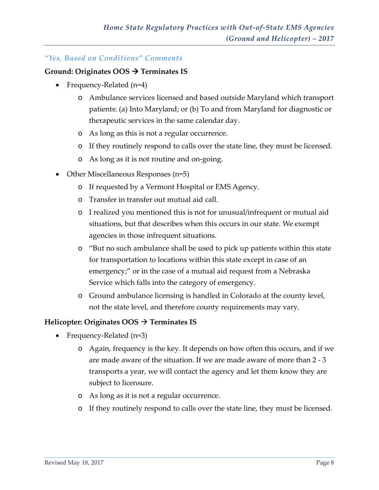#### *"Yes, Based on Conditions" Comments*

#### **Ground: Originates OOS Terminates IS**

- Frequency-Related (n=4)
	- o Ambulance services licensed and based outside Maryland which transport patients: (a) Into Maryland; or (b) To and from Maryland for diagnostic or therapeutic services in the same calendar day.
	- o As long as this is not a regular occurrence.
	- o If they routinely respond to calls over the state line, they must be licensed.
	- o As long as it is not routine and on-going.
- Other Miscellaneous Responses (n=5)
	- o If requested by a Vermont Hospital or EMS Agency.
	- o Transfer in transfer out mutual aid call.
	- o I realized you mentioned this is not for unusual/infrequent or mutual aid situations, but that describes when this occurs in our state. We exempt agencies in those infrequent situations.
	- o "But no such ambulance shall be used to pick up patients within this state for transportation to locations within this state except in case of an emergency;" or in the case of a mutual aid request from a Nebraska Service which falls into the category of emergency.
	- o Ground ambulance licensing is handled in Colorado at the county level, not the state level, and therefore county requirements may vary.

#### **Helicopter: Originates OOS Terminates IS**

- Frequency-Related (n=3)
	- o Again, frequency is the key. It depends on how often this occurs, and if we are made aware of the situation. If we are made aware of more than 2 - 3 transports a year, we will contact the agency and let them know they are subject to licensure.
	- o As long as it is not a regular occurrence.
	- o If they routinely respond to calls over the state line, they must be licensed.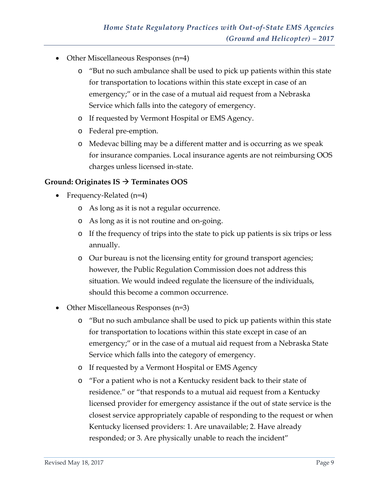- Other Miscellaneous Responses (n=4)
	- o "But no such ambulance shall be used to pick up patients within this state for transportation to locations within this state except in case of an emergency;" or in the case of a mutual aid request from a Nebraska Service which falls into the category of emergency.
	- o If requested by Vermont Hospital or EMS Agency.
	- o Federal pre-emption.
	- o Medevac billing may be a different matter and is occurring as we speak for insurance companies. Local insurance agents are not reimbursing OOS charges unless licensed in-state.

#### **Ground: Originates IS Terminates OOS**

- Frequency-Related (n=4)
	- o As long as it is not a regular occurrence.
	- o As long as it is not routine and on-going.
	- o If the frequency of trips into the state to pick up patients is six trips or less annually.
	- o Our bureau is not the licensing entity for ground transport agencies; however, the Public Regulation Commission does not address this situation. We would indeed regulate the licensure of the individuals, should this become a common occurrence.
- Other Miscellaneous Responses (n=3)
	- o "But no such ambulance shall be used to pick up patients within this state for transportation to locations within this state except in case of an emergency;" or in the case of a mutual aid request from a Nebraska State Service which falls into the category of emergency.
	- o If requested by a Vermont Hospital or EMS Agency
	- o "For a patient who is not a Kentucky resident back to their state of residence." or "that responds to a mutual aid request from a Kentucky licensed provider for emergency assistance if the out of state service is the closest service appropriately capable of responding to the request or when Kentucky licensed providers: 1. Are unavailable; 2. Have already responded; or 3. Are physically unable to reach the incident"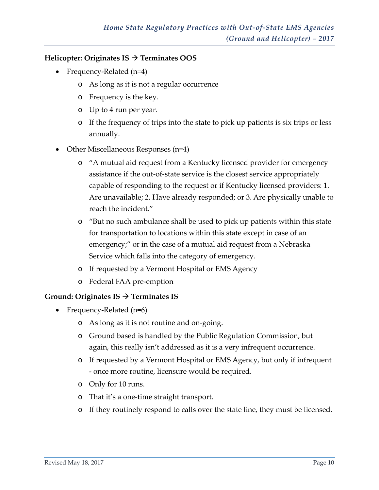#### **Helicopter: Originates IS Terminates OOS**

- Frequency-Related (n=4)
	- o As long as it is not a regular occurrence
	- o Frequency is the key.
	- o Up to 4 run per year.
	- o If the frequency of trips into the state to pick up patients is six trips or less annually.
- Other Miscellaneous Responses (n=4)
	- o "A mutual aid request from a Kentucky licensed provider for emergency assistance if the out-of-state service is the closest service appropriately capable of responding to the request or if Kentucky licensed providers: 1. Are unavailable; 2. Have already responded; or 3. Are physically unable to reach the incident."
	- o "But no such ambulance shall be used to pick up patients within this state for transportation to locations within this state except in case of an emergency;" or in the case of a mutual aid request from a Nebraska Service which falls into the category of emergency.
	- o If requested by a Vermont Hospital or EMS Agency
	- o Federal FAA pre-emption

#### **Ground: Originates IS Terminates IS**

- Frequency-Related (n=6)
	- o As long as it is not routine and on-going.
	- o Ground based is handled by the Public Regulation Commission, but again, this really isn't addressed as it is a very infrequent occurrence.
	- o If requested by a Vermont Hospital or EMS Agency, but only if infrequent - once more routine, licensure would be required.
	- o Only for 10 runs.
	- o That it's a one-time straight transport.
	- o If they routinely respond to calls over the state line, they must be licensed.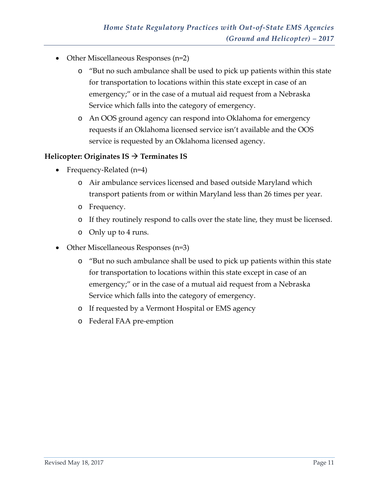- Other Miscellaneous Responses (n=2)
	- o "But no such ambulance shall be used to pick up patients within this state for transportation to locations within this state except in case of an emergency;" or in the case of a mutual aid request from a Nebraska Service which falls into the category of emergency.
	- o An OOS ground agency can respond into Oklahoma for emergency requests if an Oklahoma licensed service isn't available and the OOS service is requested by an Oklahoma licensed agency.

#### **Helicopter: Originates IS Terminates IS**

- Frequency-Related (n=4)
	- o Air ambulance services licensed and based outside Maryland which transport patients from or within Maryland less than 26 times per year.
	- o Frequency.
	- o If they routinely respond to calls over the state line, they must be licensed.
	- o Only up to 4 runs.
- Other Miscellaneous Responses (n=3)
	- o "But no such ambulance shall be used to pick up patients within this state for transportation to locations within this state except in case of an emergency;" or in the case of a mutual aid request from a Nebraska Service which falls into the category of emergency.
	- o If requested by a Vermont Hospital or EMS agency
	- o Federal FAA pre-emption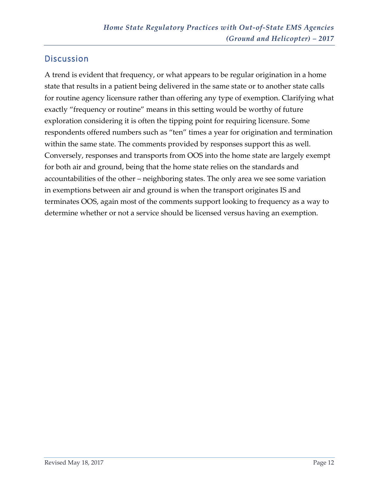## <span id="page-13-0"></span>**Discussion**

A trend is evident that frequency, or what appears to be regular origination in a home state that results in a patient being delivered in the same state or to another state calls for routine agency licensure rather than offering any type of exemption. Clarifying what exactly "frequency or routine" means in this setting would be worthy of future exploration considering it is often the tipping point for requiring licensure. Some respondents offered numbers such as "ten" times a year for origination and termination within the same state. The comments provided by responses support this as well. Conversely, responses and transports from OOS into the home state are largely exempt for both air and ground, being that the home state relies on the standards and accountabilities of the other – neighboring states. The only area we see some variation in exemptions between air and ground is when the transport originates IS and terminates OOS, again most of the comments support looking to frequency as a way to determine whether or not a service should be licensed versus having an exemption.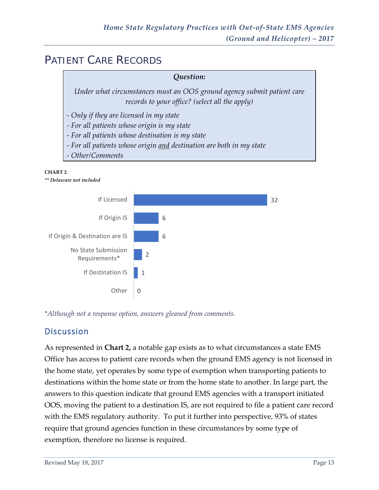# <span id="page-14-0"></span>PATIENT CARE RECORDS

## *Question: Under what circumstances must an OOS ground agency submit patient care records to your office? (select all the apply) - Only if they are licensed in my state - For all patients whose origin is my state*

- *- For all patients whose destination is my state*
- *- For all patients whose origin and destination are both in my state*
- *- Other/Comments*

#### **CHART 2**

*\*\* Delaware not included* 



*\*Although not a response option, answers gleaned from comments.* 

## <span id="page-14-1"></span>**Discussion**

As represented in **Chart 2,** a notable gap exists as to what circumstances a state EMS Office has access to patient care records when the ground EMS agency is not licensed in the home state, yet operates by some type of exemption when transporting patients to destinations within the home state or from the home state to another. In large part, the answers to this question indicate that ground EMS agencies with a transport initiated OOS, moving the patient to a destination IS, are not required to file a patient care record with the EMS regulatory authority. To put it further into perspective, 93% of states require that ground agencies function in these circumstances by some type of exemption, therefore no license is required.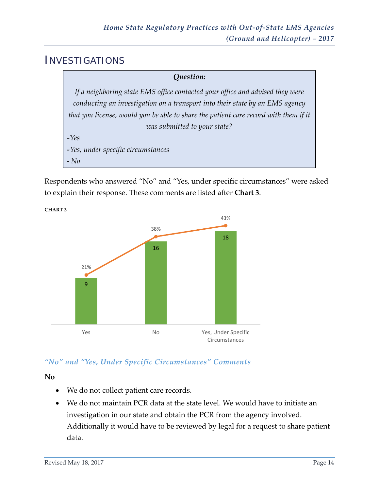## <span id="page-15-0"></span>INVESTIGATIONS



Respondents who answered "No" and "Yes, under specific circumstances" were asked to explain their response. These comments are listed after **Chart 3**.



## *"No" and "Yes, Under Specific Circumstances" Comments*

**No**

- We do not collect patient care records.
- We do not maintain PCR data at the state level. We would have to initiate an investigation in our state and obtain the PCR from the agency involved. Additionally it would have to be reviewed by legal for a request to share patient data.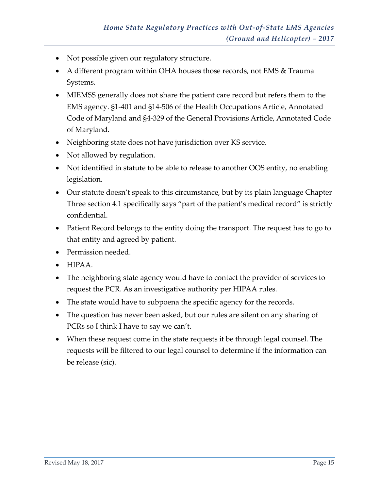- Not possible given our regulatory structure.
- A different program within OHA houses those records, not EMS & Trauma Systems.
- MIEMSS generally does not share the patient care record but refers them to the EMS agency. §1-401 and §14-506 of the Health Occupations Article, Annotated Code of Maryland and §4-329 of the General Provisions Article, Annotated Code of Maryland.
- Neighboring state does not have jurisdiction over KS service.
- Not allowed by regulation.
- Not identified in statute to be able to release to another OOS entity, no enabling legislation.
- Our statute doesn't speak to this circumstance, but by its plain language Chapter Three section 4.1 specifically says "part of the patient's medical record" is strictly confidential.
- Patient Record belongs to the entity doing the transport. The request has to go to that entity and agreed by patient.
- Permission needed.
- HIPAA.
- The neighboring state agency would have to contact the provider of services to request the PCR. As an investigative authority per HIPAA rules.
- The state would have to subpoena the specific agency for the records.
- The question has never been asked, but our rules are silent on any sharing of PCRs so I think I have to say we can't.
- When these request come in the state requests it be through legal counsel. The requests will be filtered to our legal counsel to determine if the information can be release (sic).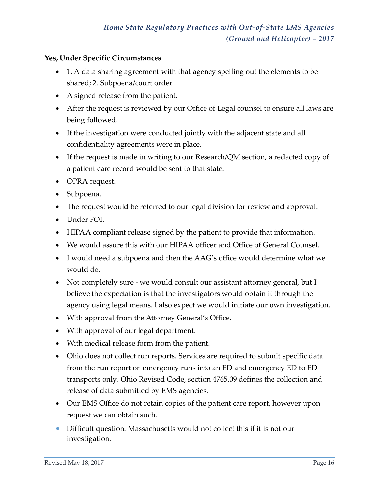#### **Yes, Under Specific Circumstances**

- 1. A data sharing agreement with that agency spelling out the elements to be shared; 2. Subpoena/court order.
- A signed release from the patient.
- After the request is reviewed by our Office of Legal counsel to ensure all laws are being followed.
- If the investigation were conducted jointly with the adjacent state and all confidentiality agreements were in place.
- If the request is made in writing to our Research/QM section, a redacted copy of a patient care record would be sent to that state.
- OPRA request.
- Subpoena.
- The request would be referred to our legal division for review and approval.
- Under FOI.
- HIPAA compliant release signed by the patient to provide that information.
- We would assure this with our HIPAA officer and Office of General Counsel.
- I would need a subpoena and then the AAG's office would determine what we would do.
- Not completely sure we would consult our assistant attorney general, but I believe the expectation is that the investigators would obtain it through the agency using legal means. I also expect we would initiate our own investigation.
- With approval from the Attorney General's Office.
- With approval of our legal department.
- With medical release form from the patient.
- Ohio does not collect run reports. Services are required to submit specific data from the run report on emergency runs into an ED and emergency ED to ED transports only. Ohio Revised Code, section 4765.09 defines the collection and release of data submitted by EMS agencies.
- Our EMS Office do not retain copies of the patient care report, however upon request we can obtain such.
- Difficult question. Massachusetts would not collect this if it is not our investigation.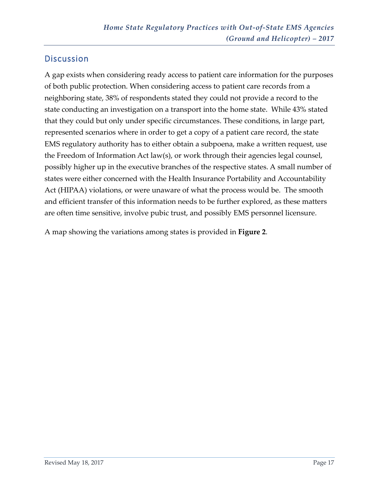## <span id="page-18-0"></span>**Discussion**

A gap exists when considering ready access to patient care information for the purposes of both public protection. When considering access to patient care records from a neighboring state, 38% of respondents stated they could not provide a record to the state conducting an investigation on a transport into the home state. While 43% stated that they could but only under specific circumstances. These conditions, in large part, represented scenarios where in order to get a copy of a patient care record, the state EMS regulatory authority has to either obtain a subpoena, make a written request, use the Freedom of Information Act law(s), or work through their agencies legal counsel, possibly higher up in the executive branches of the respective states. A small number of states were either concerned with the Health Insurance Portability and Accountability Act (HIPAA) violations, or were unaware of what the process would be. The smooth and efficient transfer of this information needs to be further explored, as these matters are often time sensitive, involve pubic trust, and possibly EMS personnel licensure.

A map showing the variations among states is provided in **Figure 2**.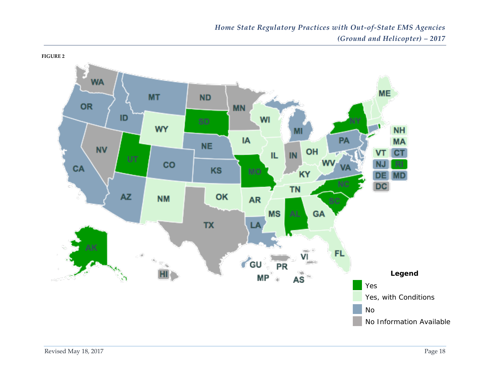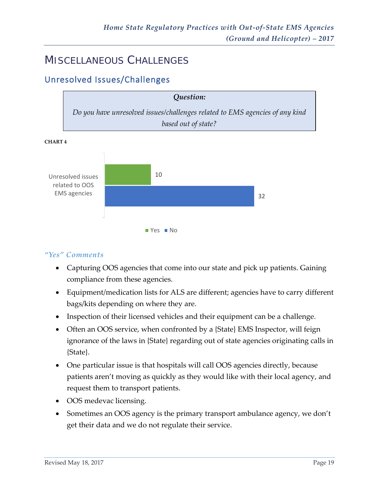## <span id="page-20-0"></span>MISCELLANEOUS CHALLENGES

## <span id="page-20-1"></span>Unresolved Issues/Challenges





#### *"Yes" Comments*

- Capturing OOS agencies that come into our state and pick up patients. Gaining compliance from these agencies.
- Equipment/medication lists for ALS are different; agencies have to carry different bags/kits depending on where they are.
- Inspection of their licensed vehicles and their equipment can be a challenge.
- Often an OOS service, when confronted by a {State} EMS Inspector, will feign ignorance of the laws in {State} regarding out of state agencies originating calls in {State}.
- One particular issue is that hospitals will call OOS agencies directly, because patients aren't moving as quickly as they would like with their local agency, and request them to transport patients.
- OOS medevac licensing.
- Sometimes an OOS agency is the primary transport ambulance agency, we don't get their data and we do not regulate their service.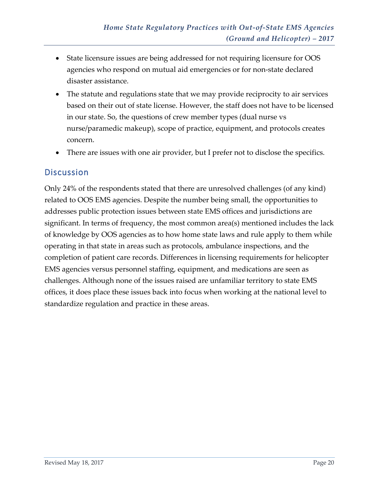- State licensure issues are being addressed for not requiring licensure for OOS agencies who respond on mutual aid emergencies or for non-state declared disaster assistance.
- The statute and regulations state that we may provide reciprocity to air services based on their out of state license. However, the staff does not have to be licensed in our state. So, the questions of crew member types (dual nurse vs nurse/paramedic makeup), scope of practice, equipment, and protocols creates concern.
- There are issues with one air provider, but I prefer not to disclose the specifics.

### <span id="page-21-0"></span>**Discussion**

Only 24% of the respondents stated that there are unresolved challenges (of any kind) related to OOS EMS agencies. Despite the number being small, the opportunities to addresses public protection issues between state EMS offices and jurisdictions are significant. In terms of frequency, the most common area(s) mentioned includes the lack of knowledge by OOS agencies as to how home state laws and rule apply to them while operating in that state in areas such as protocols, ambulance inspections, and the completion of patient care records. Differences in licensing requirements for helicopter EMS agencies versus personnel staffing, equipment, and medications are seen as challenges. Although none of the issues raised are unfamiliar territory to state EMS offices, it does place these issues back into focus when working at the national level to standardize regulation and practice in these areas.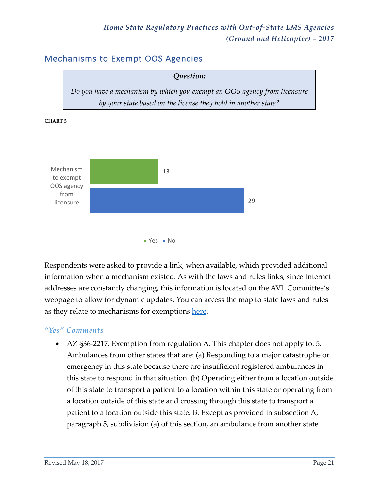## <span id="page-22-0"></span>Mechanisms to Exempt OOS Agencies





**CHART 5**

Respondents were asked to provide a link, when available, which provided additional information when a mechanism existed. As with the laws and rules links, since Internet addresses are constantly changing, this information is located on the AVL Committee's webpage to allow for dynamic updates. You can access the map to state laws and rules as they relate to mechanisms for exemptions [here.](http://www.nasemso.org/ExemptMechanisms/Exempt-Mechanisms-Map.asp)

#### *"Yes" Comments*

• AZ §36-2217. Exemption from regulation A. This chapter does not apply to: 5. Ambulances from other states that are: (a) Responding to a major catastrophe or emergency in this state because there are insufficient registered ambulances in this state to respond in that situation. (b) Operating either from a location outside of this state to transport a patient to a location within this state or operating from a location outside of this state and crossing through this state to transport a patient to a location outside this state. B. Except as provided in subsection A, paragraph 5, subdivision (a) of this section, an ambulance from another state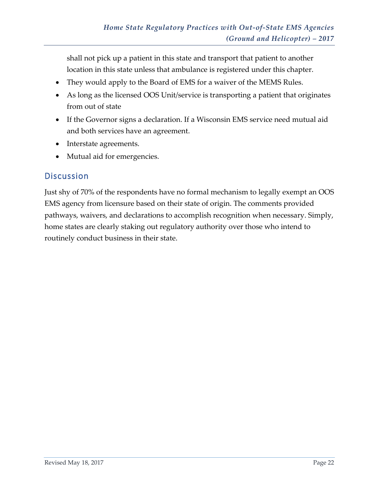shall not pick up a patient in this state and transport that patient to another location in this state unless that ambulance is registered under this chapter.

- They would apply to the Board of EMS for a waiver of the MEMS Rules.
- As long as the licensed OOS Unit/service is transporting a patient that originates from out of state
- If the Governor signs a declaration. If a Wisconsin EMS service need mutual aid and both services have an agreement.
- Interstate agreements.
- Mutual aid for emergencies.

## <span id="page-23-0"></span>**Discussion**

Just shy of 70% of the respondents have no formal mechanism to legally exempt an OOS EMS agency from licensure based on their state of origin. The comments provided pathways, waivers, and declarations to accomplish recognition when necessary. Simply, home states are clearly staking out regulatory authority over those who intend to routinely conduct business in their state.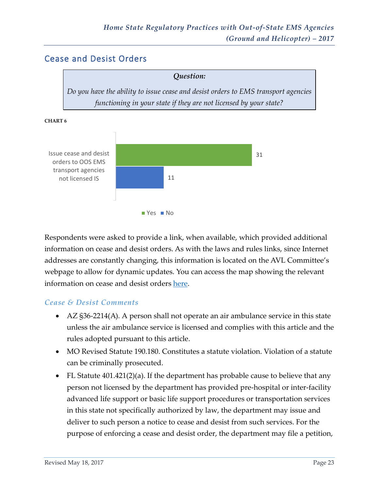## <span id="page-24-0"></span>Cease and Desist Orders





**CHART 6**

Respondents were asked to provide a link, when available, which provided additional information on cease and desist orders. As with the laws and rules links, since Internet addresses are constantly changing, this information is located on the AVL Committee's webpage to allow for dynamic updates. You can access the map showing the relevant information on cease and desist orders [here.](http://nasemso.org/CeaseDesist/Cease-Desist-Map.asp)

#### *Cease & Desist Comments*

- AZ §36-2214(A). A person shall not operate an air ambulance service in this state unless the air ambulance service is licensed and complies with this article and the rules adopted pursuant to this article.
- MO Revised Statute 190.180. Constitutes a statute violation. Violation of a statute can be criminally prosecuted.
- FL Statute 401.421(2)(a). If the department has probable cause to believe that any person not licensed by the department has provided pre-hospital or inter-facility advanced life support or basic life support procedures or transportation services in this state not specifically authorized by law, the department may issue and deliver to such person a notice to cease and desist from such services. For the purpose of enforcing a cease and desist order, the department may file a petition,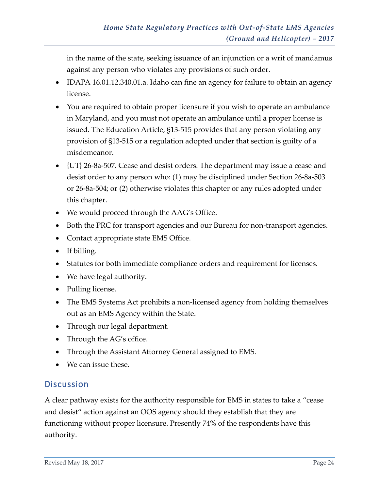in the name of the state, seeking issuance of an injunction or a writ of mandamus against any person who violates any provisions of such order.

- IDAPA 16.01.12.340.01.a. Idaho can fine an agency for failure to obtain an agency license.
- You are required to obtain proper licensure if you wish to operate an ambulance in Maryland, and you must not operate an ambulance until a proper license is issued. The Education Article, §13-515 provides that any person violating any provision of §13-515 or a regulation adopted under that section is guilty of a misdemeanor.
- {UT} 26-8a-507. Cease and desist orders. The department may issue a cease and desist order to any person who: (1) may be disciplined under Section 26-8a-503 or 26-8a-504; or (2) otherwise violates this chapter or any rules adopted under this chapter.
- We would proceed through the AAG's Office.
- Both the PRC for transport agencies and our Bureau for non-transport agencies.
- Contact appropriate state EMS Office.
- If billing.
- Statutes for both immediate compliance orders and requirement for licenses.
- We have legal authority.
- Pulling license.
- The EMS Systems Act prohibits a non-licensed agency from holding themselves out as an EMS Agency within the State.
- Through our legal department.
- Through the AG's office.
- Through the Assistant Attorney General assigned to EMS.
- We can issue these.

## <span id="page-25-0"></span>**Discussion**

A clear pathway exists for the authority responsible for EMS in states to take a "cease and desist" action against an OOS agency should they establish that they are functioning without proper licensure. Presently 74% of the respondents have this authority.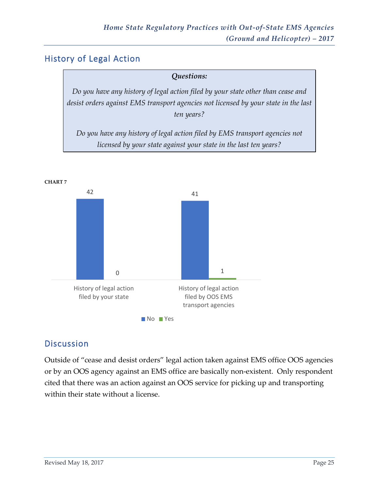## <span id="page-26-0"></span>History of Legal Action

# *Questions: Do you have any history of legal action filed by your state other than cease and desist orders against EMS transport agencies not licensed by your state in the last ten years? Do you have any history of legal action filed by EMS transport agencies not*

*licensed by your state against your state in the last ten years?*



## <span id="page-26-1"></span>**Discussion**

Outside of "cease and desist orders" legal action taken against EMS office OOS agencies or by an OOS agency against an EMS office are basically non-existent. Only respondent cited that there was an action against an OOS service for picking up and transporting within their state without a license.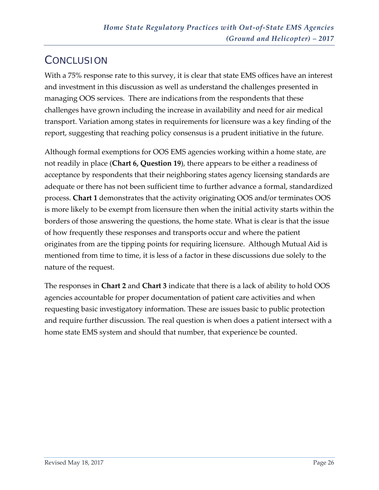# <span id="page-27-0"></span>**CONCLUSION**

With a 75% response rate to this survey, it is clear that state EMS offices have an interest and investment in this discussion as well as understand the challenges presented in managing OOS services. There are indications from the respondents that these challenges have grown including the increase in availability and need for air medical transport. Variation among states in requirements for licensure was a key finding of the report, suggesting that reaching policy consensus is a prudent initiative in the future.

Although formal exemptions for OOS EMS agencies working within a home state, are not readily in place (**Chart 6, Question 19**), there appears to be either a readiness of acceptance by respondents that their neighboring states agency licensing standards are adequate or there has not been sufficient time to further advance a formal, standardized process. **Chart 1** demonstrates that the activity originating OOS and/or terminates OOS is more likely to be exempt from licensure then when the initial activity starts within the borders of those answering the questions, the home state. What is clear is that the issue of how frequently these responses and transports occur and where the patient originates from are the tipping points for requiring licensure. Although Mutual Aid is mentioned from time to time, it is less of a factor in these discussions due solely to the nature of the request.

The responses in **Chart 2** and **Chart 3** indicate that there is a lack of ability to hold OOS agencies accountable for proper documentation of patient care activities and when requesting basic investigatory information. These are issues basic to public protection and require further discussion. The real question is when does a patient intersect with a home state EMS system and should that number, that experience be counted.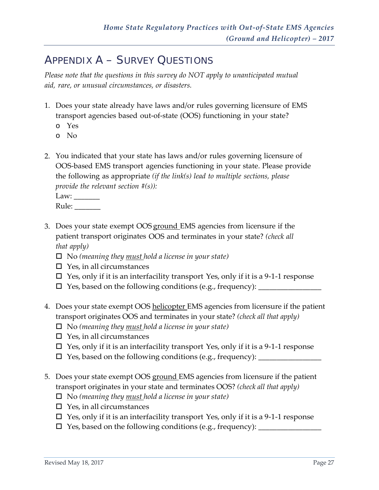# <span id="page-28-0"></span>APPENDIX A – SURVEY QUESTIONS

*Please note that the questions in this survey do NOT apply to unanticipated mutual aid, rare, or unusual circumstances, or disasters.*

- 1. Does your state already have laws and/or rules governing licensure of EMS transport agencies based out-of-state (OOS) functioning in your state?
	- o Yes
	- o No
- 2. You indicated that your state has laws and/or rules governing licensure of OOS-based EMS transport agencies functioning in your state. Please provide the following as appropriate *(if the link(s) lead to multiple sections, please provide the relevant section #(s)):*

| Law:  |  |
|-------|--|
| Rule: |  |

- 3. Does your state exempt OOS ground EMS agencies from licensure if the patient transport originates OOS and terminates in your state? *(check all that apply)*
	- No *(meaning they must hold a license in your state)*
	- $\square$  Yes, in all circumstances
	- $\Box$  Yes, only if it is an interfacility transport Yes, only if it is a 9-1-1 response
	- Yes, based on the following conditions (e.g., frequency): \_\_\_\_\_\_\_\_\_\_\_\_\_\_\_\_\_
- 4. Does your state exempt OOS helicopter EMS agencies from licensure if the patient transport originates OOS and terminates in your state? *(check all that apply)*
	- No *(meaning they must hold a license in your state)*
	- $\square$  Yes, in all circumstances
	- $\Box$  Yes, only if it is an interfacility transport Yes, only if it is a 9-1-1 response
	- Yes, based on the following conditions (e.g., frequency): \_\_\_\_\_\_\_\_\_\_\_\_\_\_\_\_\_
- 5. Does your state exempt OOS ground EMS agencies from licensure if the patient transport originates in your state and terminates OOS? *(check all that apply)*
	- No *(meaning they must hold a license in your state)*
	- $\square$  Yes, in all circumstances
	- $\Box$  Yes, only if it is an interfacility transport Yes, only if it is a 9-1-1 response
	- $\square$  Yes, based on the following conditions (e.g., frequency):  $\_\_$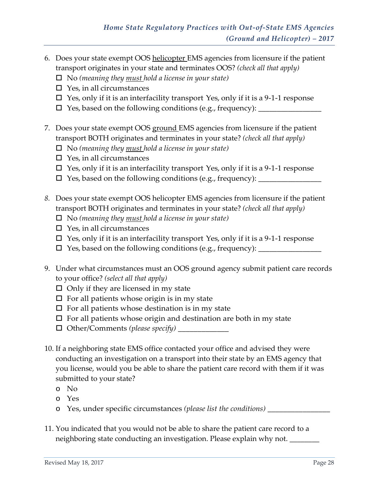6. Does your state exempt OOS helicopter EMS agencies from licensure if the patient transport originates in your state and terminates OOS? *(check all that apply)*

No *(meaning they must hold a license in your state)*

- $\square$  Yes, in all circumstances
- $\Box$  Yes, only if it is an interfacility transport Yes, only if it is a 9-1-1 response
- $\Box$  Yes, based on the following conditions (e.g., frequency):  $\Box$
- 7. Does your state exempt OOS ground EMS agencies from licensure if the patient transport BOTH originates and terminates in your state? *(check all that apply)*
	- No *(meaning they must hold a license in your state)*
	- $\square$  Yes, in all circumstances
	- $\square$  Yes, only if it is an interfacility transport Yes, only if it is a 9-1-1 response
	- $\square$  Yes, based on the following conditions (e.g., frequency):  $\blacksquare$
- *8.* Does your state exempt OOS helicopter EMS agencies from licensure if the patient transport BOTH originates and terminates in your state? *(check all that apply)*
	- No *(meaning they must hold a license in your state)*
	- $\square$  Yes, in all circumstances
	- $\Box$  Yes, only if it is an interfacility transport Yes, only if it is a 9-1-1 response
	- Yes, based on the following conditions (e.g., frequency): \_\_\_\_\_\_\_\_\_\_\_\_\_\_\_\_\_
- 9. Under what circumstances must an OOS ground agency submit patient care records to your office? *(select all that apply)*
	- $\Box$  Only if they are licensed in my state
	- $\square$  For all patients whose origin is in my state
	- $\square$  For all patients whose destination is in my state
	- $\Box$  For all patients whose origin and destination are both in my state
	- Other/Comments *(please specify)* \_\_\_\_\_\_\_\_\_\_\_\_\_
- 10. If a neighboring state EMS office contacted your office and advised they were conducting an investigation on a transport into their state by an EMS agency that you license, would you be able to share the patient care record with them if it was submitted to your state?
	- o No
	- o Yes
	- o Yes, under specific circumstances *(please list the conditions)* \_\_\_\_\_\_\_\_\_\_\_\_\_\_\_\_
- 11. You indicated that you would not be able to share the patient care record to a neighboring state conducting an investigation. Please explain why not. \_\_\_\_\_\_\_\_